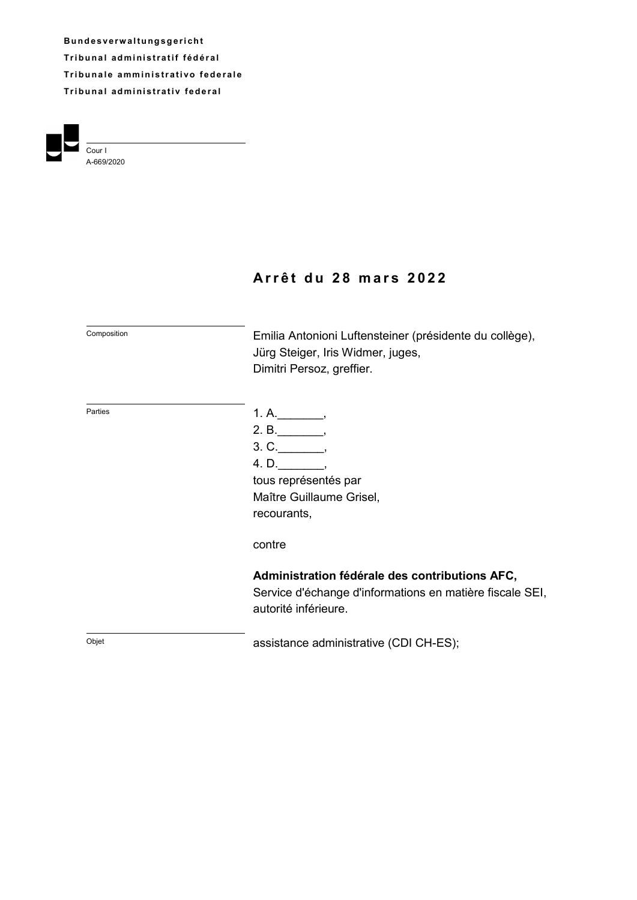**B u n d e s v e rw a l t u ng s g e r i ch t Tribunal administratif fédéral Tribunale amministrativo federale Tribunal administrativ federal** 



# **A r r ê t d u 2 8 m a r s 2 0 2 2**

| Composition | Emilia Antonioni Luftensteiner (présidente du collège),<br>Jürg Steiger, Iris Widmer, juges,<br>Dimitri Persoz, greffier.          |
|-------------|------------------------------------------------------------------------------------------------------------------------------------|
| Parties     | 1. A.<br>2. B.<br>3. C.<br>4. D.<br>tous représentés par<br>Maître Guillaume Grisel,<br>recourants,                                |
|             | contre                                                                                                                             |
|             | Administration fédérale des contributions AFC,<br>Service d'échange d'informations en matière fiscale SEI,<br>autorité inférieure. |
| Objet       | assistance administrative (CDI CH-ES);                                                                                             |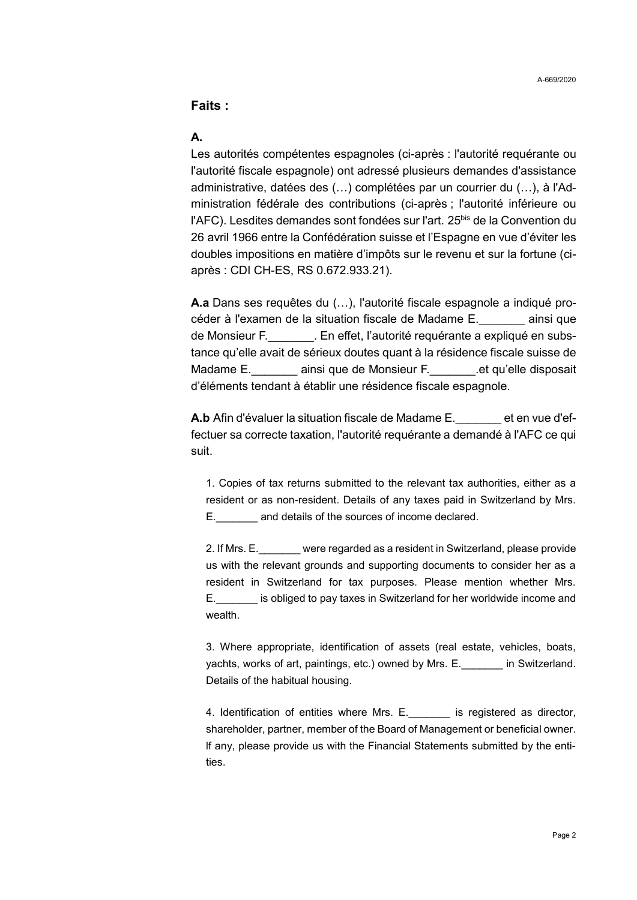### **Faits :**

# **A.**

Les autorités compétentes espagnoles (ci-après : l'autorité requérante ou l'autorité fiscale espagnole) ont adressé plusieurs demandes d'assistance administrative, datées des (…) complétées par un courrier du (…), à l'Administration fédérale des contributions (ci-après ; l'autorité inférieure ou l'AFC). Lesdites demandes sont fondées sur l'art. 25<sup>bis</sup> de la Convention du 26 avril 1966 entre la Confédération suisse et l'Espagne en vue d'éviter les doubles impositions en matière d'impôts sur le revenu et sur la fortune (ciaprès : CDI CH-ES, RS 0.672.933.21).

**A.a** Dans ses requêtes du (…), l'autorité fiscale espagnole a indiqué procéder à l'examen de la situation fiscale de Madame E.\_\_\_\_\_\_\_ ainsi que de Monsieur F. \_\_\_\_\_\_\_\_. En effet, l'autorité requérante a expliqué en substance qu'elle avait de sérieux doutes quant à la résidence fiscale suisse de Madame E. \_\_\_\_\_\_\_\_ ainsi que de Monsieur F. \_\_\_\_\_\_\_.et qu'elle disposait d'éléments tendant à établir une résidence fiscale espagnole.

**A.b** Afin d'évaluer la situation fiscale de Madame E. et en vue d'effectuer sa correcte taxation, l'autorité requérante a demandé à l'AFC ce qui suit.

1. Copies of tax returns submitted to the relevant tax authorities, either as a resident or as non-resident. Details of any taxes paid in Switzerland by Mrs. E.\_\_\_\_\_\_\_ and details of the sources of income declared.

2. If Mrs. E.\_\_\_\_\_\_\_ were regarded as a resident in Switzerland, please provide us with the relevant grounds and supporting documents to consider her as a resident in Switzerland for tax purposes. Please mention whether Mrs. E.\_\_\_\_\_\_\_ is obliged to pay taxes in Switzerland for her worldwide income and wealth.

3. Where appropriate, identification of assets (real estate, vehicles, boats, yachts, works of art, paintings, etc.) owned by Mrs. E.\_\_\_\_\_\_\_ in Switzerland. Details of the habitual housing.

4. Identification of entities where Mrs. E. is registered as director, shareholder, partner, member of the Board of Management or beneficial owner. lf any, please provide us with the Financial Statements submitted by the entities.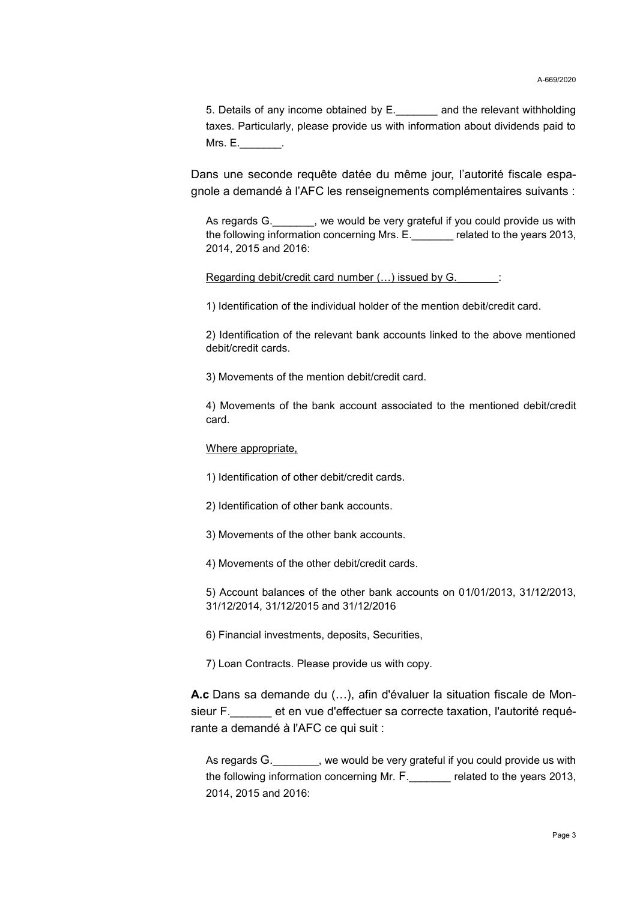5. Details of any income obtained by E.\_\_\_\_\_\_\_ and the relevant withholding taxes. Particularly, please provide us with information about dividends paid to  $Mrs. E.$ 

Dans une seconde requête datée du même jour, l'autorité fiscale espagnole a demandé à l'AFC les renseignements complémentaires suivants :

As regards G.  $\qquad \qquad$ , we would be very grateful if you could provide us with the following information concerning Mrs. E.\_\_\_\_\_\_\_ related to the years 2013, 2014, 2015 and 2016:

Regarding debit/credit card number (...) issued by G.

1) Identification of the individual holder of the mention debit/credit card.

2) Identification of the relevant bank accounts linked to the above mentioned debit/credit cards.

3) Movements of the mention debit/credit card.

4) Movements of the bank account associated to the mentioned debit/credit card.

Where appropriate,

1) Identification of other debit/credit cards.

2) Identification of other bank accounts.

3) Movements of the other bank accounts.

4) Movements of the other debit/credit cards.

5) Account balances of the other bank accounts on 01/01/2013, 31/12/2013, 31/12/2014, 31/12/2015 and 31/12/2016

6) Financial investments, deposits, Securities,

7) Loan Contracts. Please provide us with copy.

**A.c** Dans sa demande du (…), afin d'évaluer la situation fiscale de Monsieur F.\_\_\_\_\_\_\_ et en vue d'effectuer sa correcte taxation, l'autorité requérante a demandé à l'AFC ce qui suit :

As regards G.  $\blacksquare$ , we would be very grateful if you could provide us with the following information concerning Mr. F.\_\_\_\_\_\_\_ related to the years 2013, 2014, 2015 and 2016: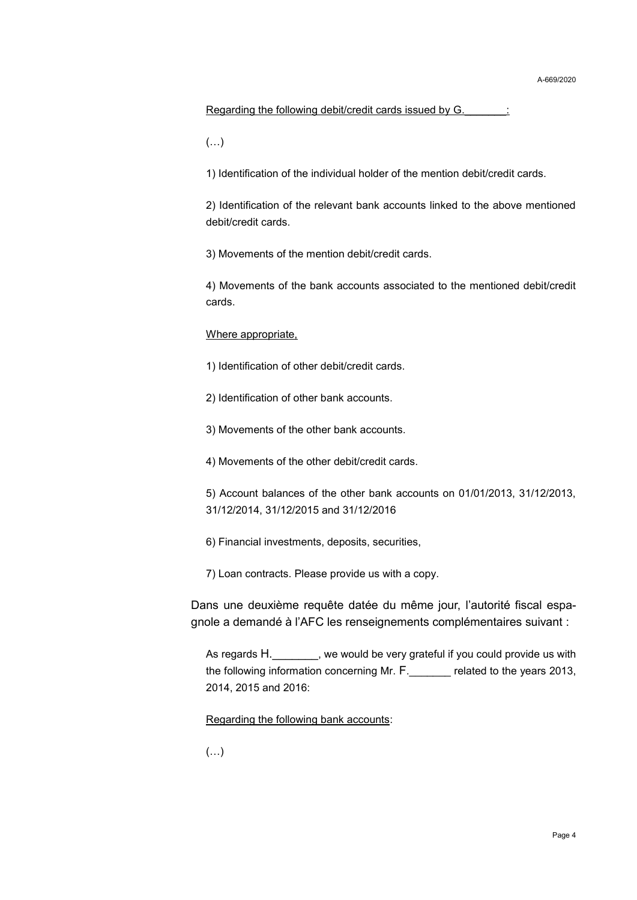#### Regarding the following debit/credit cards issued by G. \_\_\_\_\_\_:

 $(\ldots)$ 

1) Identification of the individual holder of the mention debit/credit cards.

2) Identification of the relevant bank accounts linked to the above mentioned debit/credit cards.

3) Movements of the mention debit/credit cards.

4) Movements of the bank accounts associated to the mentioned debit/credit cards.

#### Where appropriate,

1) Identification of other debit/credit cards.

2) Identification of other bank accounts.

3) Movements of the other bank accounts.

4) Movements of the other debit/credit cards.

5) Account balances of the other bank accounts on 01/01/2013, 31/12/2013, 31/12/2014, 31/12/2015 and 31/12/2016

6) Financial investments, deposits, securities,

7) Loan contracts. Please provide us with a copy.

Dans une deuxième requête datée du même jour, l'autorité fiscal espagnole a demandé à l'AFC les renseignements complémentaires suivant :

As regards H. \_\_\_\_\_\_\_, we would be very grateful if you could provide us with the following information concerning Mr. F.\_\_\_\_\_\_\_ related to the years 2013, 2014, 2015 and 2016:

Regarding the following bank accounts:

 $(\ldots)$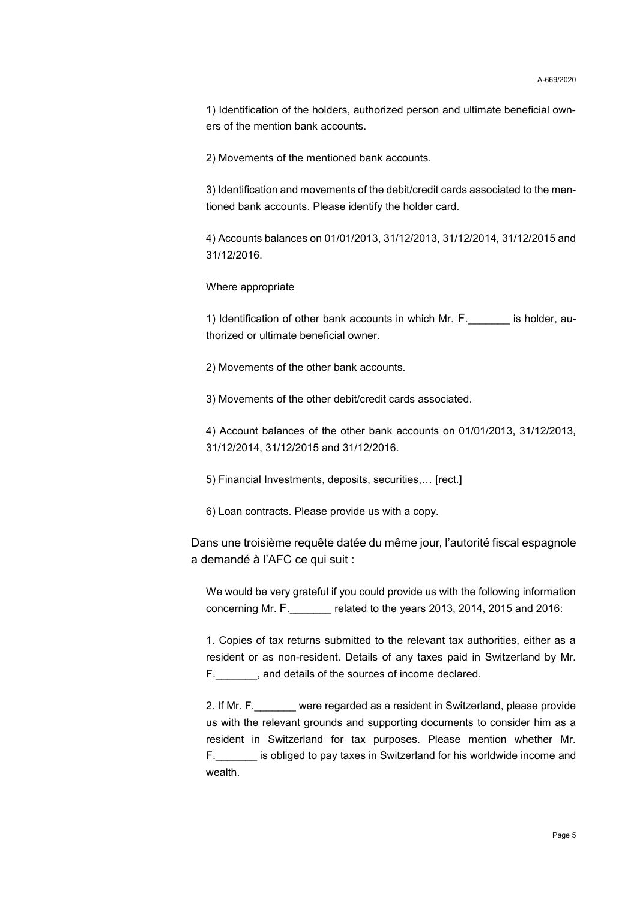1) Identification of the holders, authorized person and ultimate beneficial owners of the mention bank accounts.

2) Movements of the mentioned bank accounts.

3) Identification and movements of the debit/credit cards associated to the mentioned bank accounts. Please identify the holder card.

4) Accounts balances on 01/01/2013, 31/12/2013, 31/12/2014, 31/12/2015 and 31/12/2016.

Where appropriate

1) Identification of other bank accounts in which Mr. F.\_\_\_\_\_\_\_ is holder, authorized or ultimate beneficial owner.

2) Movements of the other bank accounts.

3) Movements of the other debit/credit cards associated.

4) Account balances of the other bank accounts on 01/01/2013, 31/12/2013, 31/12/2014, 31/12/2015 and 31/12/2016.

5) Financial Investments, deposits, securities,… [rect.]

6) Loan contracts. Please provide us with a copy.

Dans une troisième requête datée du même jour, l'autorité fiscal espagnole a demandé à l'AFC ce qui suit :

We would be very grateful if you could provide us with the following information concerning Mr. F.\_\_\_\_\_\_\_ related to the years 2013, 2014, 2015 and 2016:

1. Copies of tax returns submitted to the relevant tax authorities, either as a resident or as non-resident. Details of any taxes paid in Switzerland by Mr. F.\_\_\_\_\_\_\_, and details of the sources of income declared.

2. If Mr. F. were regarded as a resident in Switzerland, please provide us with the relevant grounds and supporting documents to consider him as a resident in Switzerland for tax purposes. Please mention whether Mr. F.\_\_\_\_\_\_\_ is obliged to pay taxes in Switzerland for his worldwide income and wealth.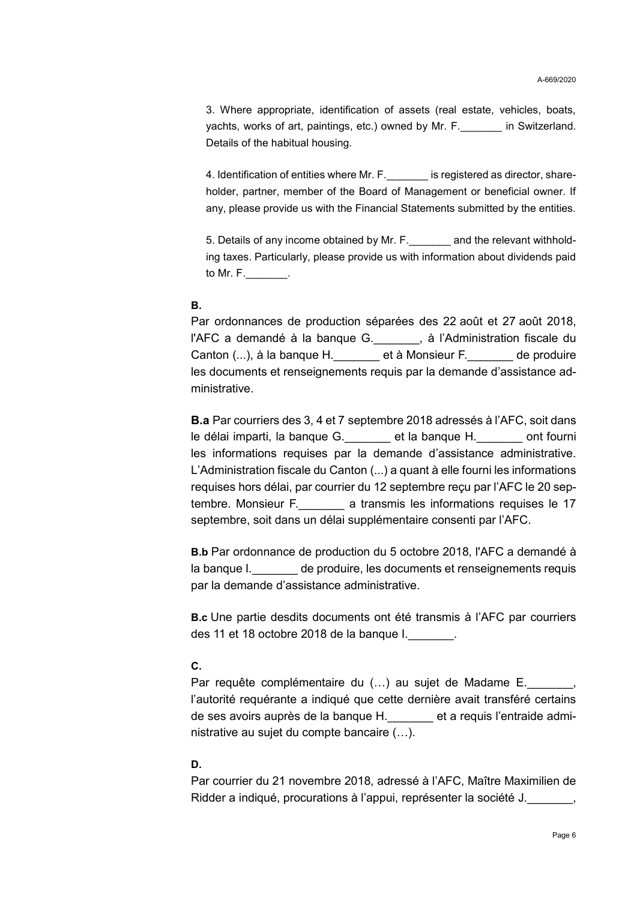3. Where appropriate, identification of assets (real estate, vehicles, boats, yachts, works of art, paintings, etc.) owned by Mr. F.\_\_\_\_\_\_\_ in Switzerland. Details of the habitual housing.

4. Identification of entities where Mr. F. is registered as director, shareholder, partner, member of the Board of Management or beneficial owner. If any, please provide us with the Financial Statements submitted by the entities.

5. Details of any income obtained by Mr. F. and the relevant withholding taxes. Particularly, please provide us with information about dividends paid to Mr. F.\_\_\_\_\_\_\_.

### **B.**

Par ordonnances de production séparées des 22 août et 27 août 2018, l'AFC a demandé à la banque G. , à l'Administration fiscale du Canton (...), à la banque H. et à Monsieur F. et de produire les documents et renseignements requis par la demande d'assistance administrative.

**B.a** Par courriers des 3, 4 et 7 septembre 2018 adressés à l'AFC, soit dans le délai imparti, la banque G. et la banque H. ont fourni les informations requises par la demande d'assistance administrative. L'Administration fiscale du Canton (...) a quant à elle fourni les informations requises hors délai, par courrier du 12 septembre reçu par l'AFC le 20 septembre. Monsieur F. **Letter a transmis les informations requises le 17** septembre, soit dans un délai supplémentaire consenti par l'AFC.

**B.b** Par ordonnance de production du 5 octobre 2018, l'AFC a demandé à la banque I. et de produire, les documents et renseignements requis par la demande d'assistance administrative.

**B.c** Une partie desdits documents ont été transmis à l'AFC par courriers des 11 et 18 octobre 2018 de la banque I.\_\_\_\_\_\_\_.

### **C.**

Par requête complémentaire du (...) au sujet de Madame E. l'autorité requérante a indiqué que cette dernière avait transféré certains de ses avoirs auprès de la banque H.\_\_\_\_\_\_\_ et a requis l'entraide administrative au sujet du compte bancaire (…).

### **D.**

Par courrier du 21 novembre 2018, adressé à l'AFC, Maître Maximilien de Ridder a indiqué, procurations à l'appui, représenter la société J.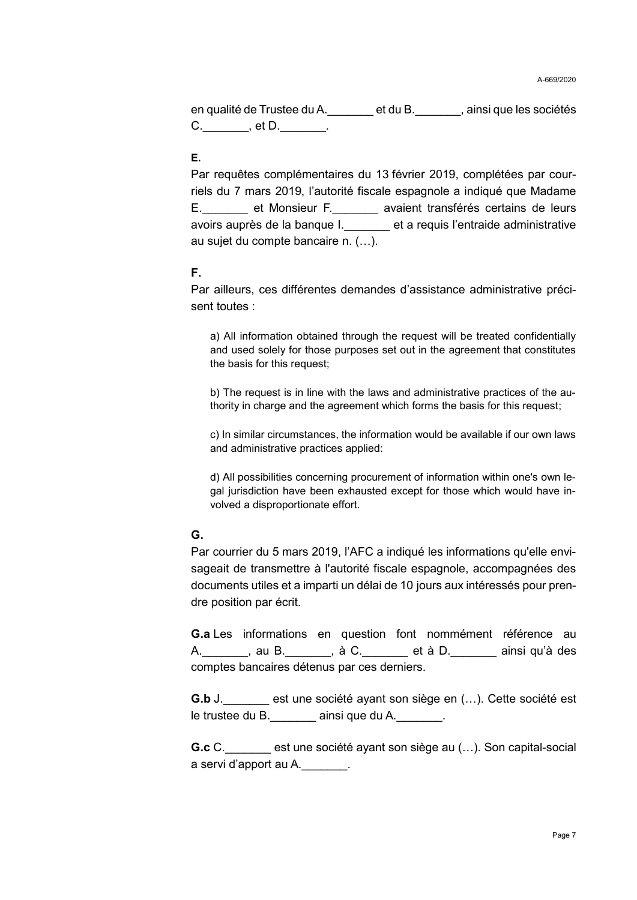en qualité de Trustee du A.\_\_\_\_\_\_\_ et du B.\_\_\_\_\_\_\_, ainsi que les sociétés  $C.$   $, et D.$   $.$ 

### **E.**

Par requêtes complémentaires du 13 février 2019, complétées par courriels du 7 mars 2019, l'autorité fiscale espagnole a indiqué que Madame E. et Monsieur F. **Nonsieur F. Aussient transférés certains de leurs** avoirs auprès de la banque I.\_\_\_\_\_\_\_ et a requis l'entraide administrative au sujet du compte bancaire n. (…).

#### **F.**

Par ailleurs, ces différentes demandes d'assistance administrative précisent toutes :

a) All information obtained through the request will be treated confidentially and used solely for those purposes set out in the agreement that constitutes the basis for this request;

b) The request is in line with the laws and administrative practices of the authority in charge and the agreement which forms the basis for this request;

c) In similar circumstances, the information would be available if our own laws and administrative practices applied:

d) All possibilities concerning procurement of information within one's own legal jurisdiction have been exhausted except for those which would have involved a disproportionate effort.

### **G.**

Par courrier du 5 mars 2019, l'AFC a indiqué les informations qu'elle envisageait de transmettre à l'autorité fiscale espagnole, accompagnées des documents utiles et a imparti un délai de 10 jours aux intéressés pour prendre position par écrit.

**G.a** Les informations en question font nommément référence au A. A. au B. A. à C. et à D. ainsi qu'à des comptes bancaires détenus par ces derniers.

**G.b** J. \_\_\_\_\_\_\_ est une société avant son siège en (...). Cette société est le trustee du B. eainsi que du A.

**G.c** C. est une société ayant son siège au (...). Son capital-social a servi d'apport au A.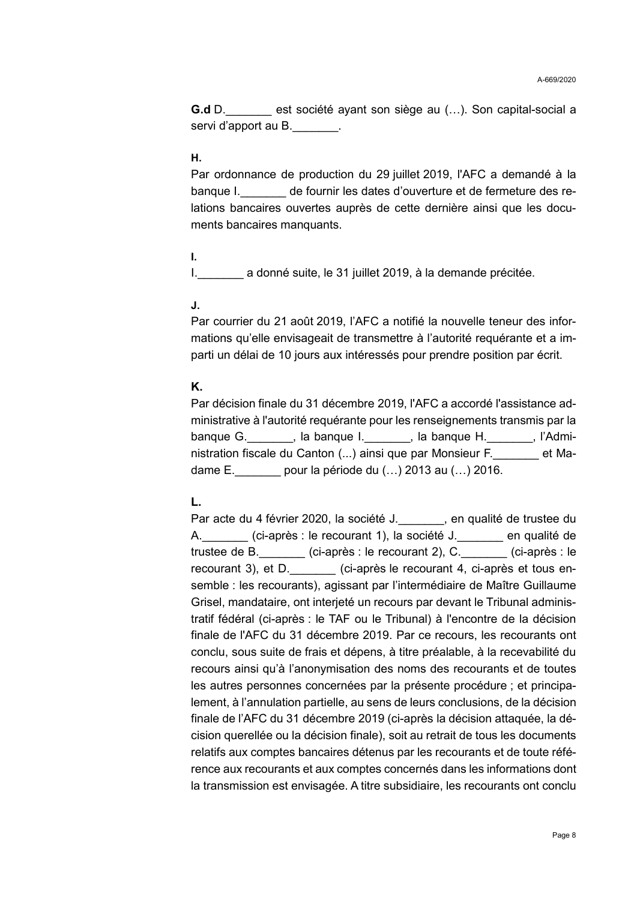**G.d** D.\_\_\_\_\_\_\_ est société ayant son siège au (…). Son capital-social a servi d'apport au B.

### **H.**

Par ordonnance de production du 29 juillet 2019, l'AFC a demandé à la banque I. de fournir les dates d'ouverture et de fermeture des relations bancaires ouvertes auprès de cette dernière ainsi que les documents bancaires manquants.

### **I.**

I. a donné suite, le 31 juillet 2019, à la demande précitée.

#### **J.**

Par courrier du 21 août 2019, l'AFC a notifié la nouvelle teneur des informations qu'elle envisageait de transmettre à l'autorité requérante et a imparti un délai de 10 jours aux intéressés pour prendre position par écrit.

#### **K.**

Par décision finale du 31 décembre 2019, l'AFC a accordé l'assistance administrative à l'autorité requérante pour les renseignements transmis par la banque G.\_\_\_\_\_\_\_, la banque I.\_\_\_\_\_\_\_, la banque H.\_\_\_\_\_\_\_, l'Administration fiscale du Canton (...) ainsi que par Monsieur F. et Madame E.\_\_\_\_\_\_\_ pour la période du (…) 2013 au (…) 2016.

### **L.**

Par acte du 4 février 2020, la société J. en qualité de trustee du A. (ci-après : le recourant 1), la société J. en qualité de trustee de B.\_\_\_\_\_\_\_ (ci-après : le recourant 2), C.\_\_\_\_\_\_\_ (ci-après : le recourant 3), et D. <br>(ci-après le recourant 4, ci-après et tous ensemble : les recourants), agissant par l'intermédiaire de Maître Guillaume Grisel, mandataire, ont interjeté un recours par devant le Tribunal administratif fédéral (ci-après : le TAF ou le Tribunal) à l'encontre de la décision finale de l'AFC du 31 décembre 2019. Par ce recours, les recourants ont conclu, sous suite de frais et dépens, à titre préalable, à la recevabilité du recours ainsi qu'à l'anonymisation des noms des recourants et de toutes les autres personnes concernées par la présente procédure ; et principalement, à l'annulation partielle, au sens de leurs conclusions, de la décision finale de l'AFC du 31 décembre 2019 (ci-après la décision attaquée, la décision querellée ou la décision finale), soit au retrait de tous les documents relatifs aux comptes bancaires détenus par les recourants et de toute référence aux recourants et aux comptes concernés dans les informations dont la transmission est envisagée. A titre subsidiaire, les recourants ont conclu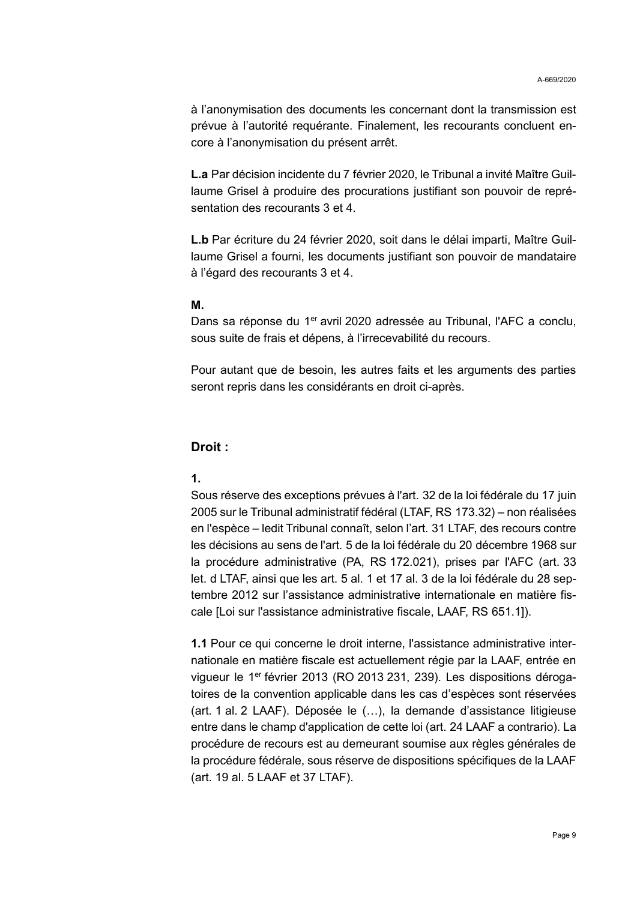à l'anonymisation des documents les concernant dont la transmission est prévue à l'autorité requérante. Finalement, les recourants concluent encore à l'anonymisation du présent arrêt.

**L.a** Par décision incidente du 7 février 2020, le Tribunal a invité Maître Guillaume Grisel à produire des procurations justifiant son pouvoir de représentation des recourants 3 et 4.

**L.b** Par écriture du 24 février 2020, soit dans le délai imparti, Maître Guillaume Grisel a fourni, les documents justifiant son pouvoir de mandataire à l'égard des recourants 3 et 4.

### **M.**

Dans sa réponse du 1<sup>er</sup> avril 2020 adressée au Tribunal, l'AFC a conclu, sous suite de frais et dépens, à l'irrecevabilité du recours.

Pour autant que de besoin, les autres faits et les arguments des parties seront repris dans les considérants en droit ci-après.

#### **Droit :**

### **1.**

Sous réserve des exceptions prévues à l'art. 32 de la loi fédérale du 17 juin 2005 sur le Tribunal administratif fédéral (LTAF, RS 173.32) – non réalisées en l'espèce – ledit Tribunal connaît, selon l'art. 31 LTAF, des recours contre les décisions au sens de l'art. 5 de la loi fédérale du 20 décembre 1968 sur la procédure administrative (PA, RS 172.021), prises par l'AFC (art. 33 let. d LTAF, ainsi que les art. 5 al. 1 et 17 al. 3 de la loi fédérale du 28 septembre 2012 sur l'assistance administrative internationale en matière fiscale [Loi sur l'assistance administrative fiscale, LAAF, RS 651.1]).

**1.1** Pour ce qui concerne le droit interne, l'assistance administrative internationale en matière fiscale est actuellement régie par la LAAF, entrée en vigueur le 1<sup>er</sup> février 2013 (RO 2013 231, 239). Les dispositions dérogatoires de la convention applicable dans les cas d'espèces sont réservées (art. 1 al. 2 LAAF). Déposée le (…), la demande d'assistance litigieuse entre dans le champ d'application de cette loi (art. 24 LAAF a contrario). La procédure de recours est au demeurant soumise aux règles générales de la procédure fédérale, sous réserve de dispositions spécifiques de la LAAF (art. 19 al. 5 LAAF et 37 LTAF).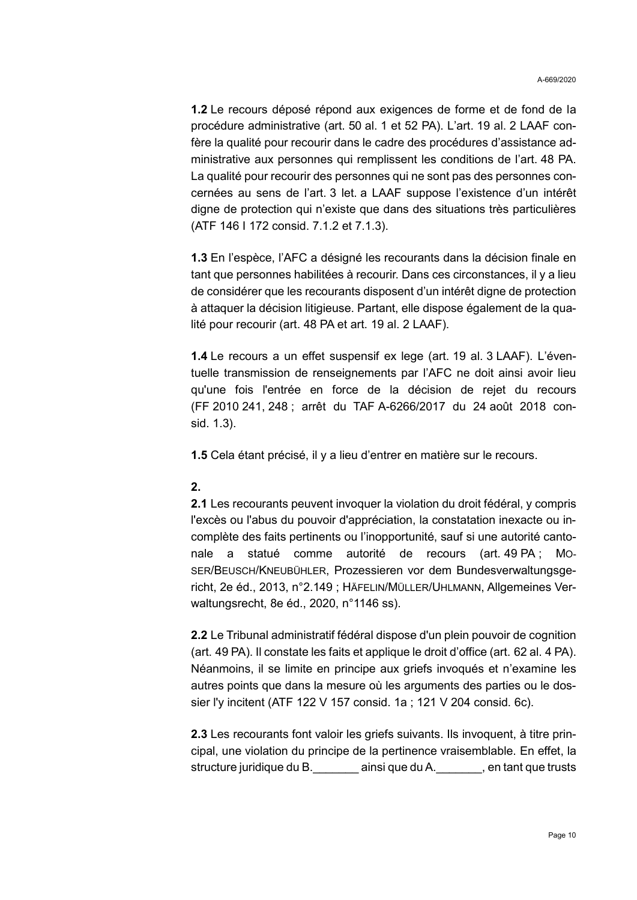**1.2** Le recours déposé répond aux exigences de forme et de fond de la procédure administrative (art. 50 al. 1 et 52 PA). L'art. 19 al. 2 LAAF confère la qualité pour recourir dans le cadre des procédures d'assistance administrative aux personnes qui remplissent les conditions de l'art. 48 PA. La qualité pour recourir des personnes qui ne sont pas des personnes concernées au sens de l'art. 3 let. a LAAF suppose l'existence d'un intérêt digne de protection qui n'existe que dans des situations très particulières (ATF 146 I 172 consid. 7.1.2 et 7.1.3).

**1.3** En l'espèce, l'AFC a désigné les recourants dans la décision finale en tant que personnes habilitées à recourir. Dans ces circonstances, il y a lieu de considérer que les recourants disposent d'un intérêt digne de protection à attaquer la décision litigieuse. Partant, elle dispose également de la qualité pour recourir (art. 48 PA et art. 19 al. 2 LAAF).

**1.4** Le recours a un effet suspensif ex lege (art. 19 al. 3 LAAF). L'éventuelle transmission de renseignements par l'AFC ne doit ainsi avoir lieu qu'une fois l'entrée en force de la décision de rejet du recours (FF 2010 241, 248 ; arrêt du TAF A-6266/2017 du 24 août 2018 consid. 1.3).

**1.5** Cela étant précisé, il y a lieu d'entrer en matière sur le recours.

### **2.**

**2.1** Les recourants peuvent invoquer la violation du droit fédéral, y compris l'excès ou l'abus du pouvoir d'appréciation, la constatation inexacte ou incomplète des faits pertinents ou l'inopportunité, sauf si une autorité cantonale a statué comme autorité de recours (art. 49 PA ; MO-SER/BEUSCH/KNEUBÜHLER, Prozessieren vor dem Bundesverwaltungsgericht, 2e éd., 2013, n°2.149 ; HÄFELIN/MÜLLER/UHLMANN, Allgemeines Verwaltungsrecht, 8e éd., 2020, n°1146 ss).

**2.2** Le Tribunal administratif fédéral dispose d'un plein pouvoir de cognition (art. 49 PA). Il constate les faits et applique le droit d'office (art. 62 al. 4 PA). Néanmoins, il se limite en principe aux griefs invoqués et n'examine les autres points que dans la mesure où les arguments des parties ou le dossier l'y incitent (ATF 122 V 157 consid. 1a ; 121 V 204 consid. 6c).

**2.3** Les recourants font valoir les griefs suivants. Ils invoquent, à titre principal, une violation du principe de la pertinence vraisemblable. En effet, la structure juridique du B.\_\_\_\_\_\_\_ ainsi que du A.\_\_\_\_\_\_\_, en tant que trusts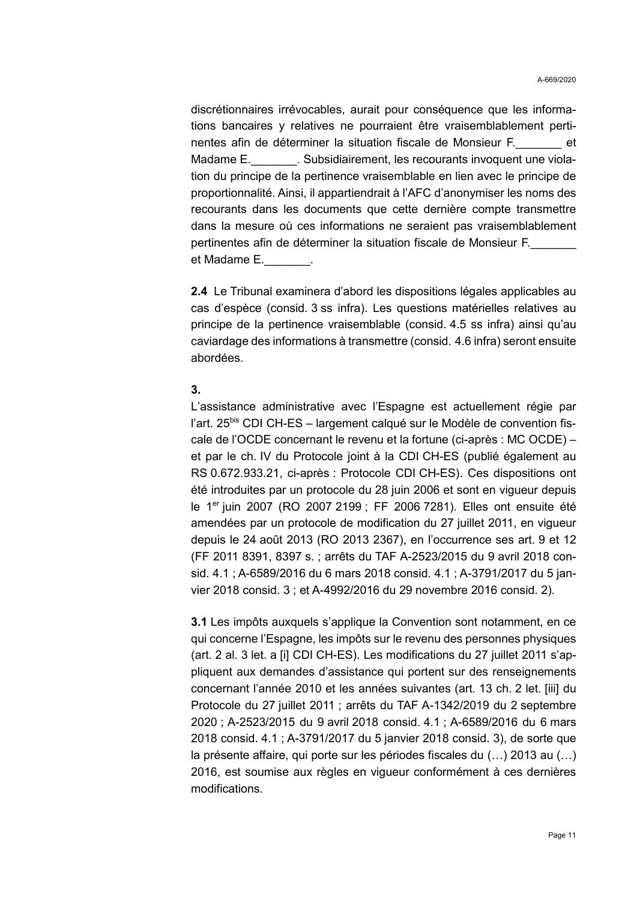discrétionnaires irrévocables, aurait pour conséquence que les informations bancaires y relatives ne pourraient être vraisemblablement pertinentes afin de déterminer la situation fiscale de Monsieur F. Madame E. \_\_\_\_\_\_\_\_. Subsidiairement, les recourants invoquent une violation du principe de la pertinence vraisemblable en lien avec le principe de proportionnalité. Ainsi, il appartiendrait à l'AFC d'anonymiser les noms des recourants dans les documents que cette dernière compte transmettre dans la mesure où ces informations ne seraient pas vraisemblablement pertinentes afin de déterminer la situation fiscale de Monsieur F. et Madame E.

**2.4** Le Tribunal examinera d'abord les dispositions légales applicables au cas d'espèce (consid. 3 ss infra). Les questions matérielles relatives au principe de la pertinence vraisemblable (consid. 4.5 ss infra) ainsi qu'au caviardage des informations à transmettre (consid. 4.6 infra) seront ensuite abordées.

#### **3.**

L'assistance administrative avec l'Espagne est actuellement régie par l'art. 25<sup>bis</sup> CDI CH-ES – largement calqué sur le Modèle de convention fiscale de l'OCDE concernant le revenu et la fortune (ci-après : MC OCDE) – et par le ch. IV du Protocole joint à la CDI CH-ES (publié également au RS 0.672.933.21, ci-après : Protocole CDI CH-ES). Ces dispositions ont été introduites par un protocole du 28 juin 2006 et sont en vigueur depuis le 1er juin 2007 (RO 2007 2199 ; FF 2006 7281). Elles ont ensuite été amendées par un protocole de modification du 27 juillet 2011, en vigueur depuis le 24 août 2013 (RO 2013 2367), en l'occurrence ses art. 9 et 12 (FF 2011 8391, 8397 s. ; arrêts du TAF A-2523/2015 du 9 avril 2018 consid. 4.1 ; A-6589/2016 du 6 mars 2018 consid. 4.1 ; A-3791/2017 du 5 janvier 2018 consid. 3 ; et A-4992/2016 du 29 novembre 2016 consid. 2).

**3.1** Les impôts auxquels s'applique la Convention sont notamment, en ce qui concerne l'Espagne, les impôts sur le revenu des personnes physiques (art. 2 al. 3 let. a [i] CDI CH-ES). Les modifications du 27 juillet 2011 s'appliquent aux demandes d'assistance qui portent sur des renseignements concernant l'année 2010 et les années suivantes (art. 13 ch. 2 let. [iii] du Protocole du 27 juillet 2011 ; arrêts du TAF A-1342/2019 du 2 septembre 2020 ; A-2523/2015 du 9 avril 2018 consid. 4.1 ; A-6589/2016 du 6 mars 2018 consid. 4.1 ; A-3791/2017 du 5 janvier 2018 consid. 3), de sorte que la présente affaire, qui porte sur les périodes fiscales du (…) 2013 au (…) 2016, est soumise aux règles en vigueur conformément à ces dernières modifications.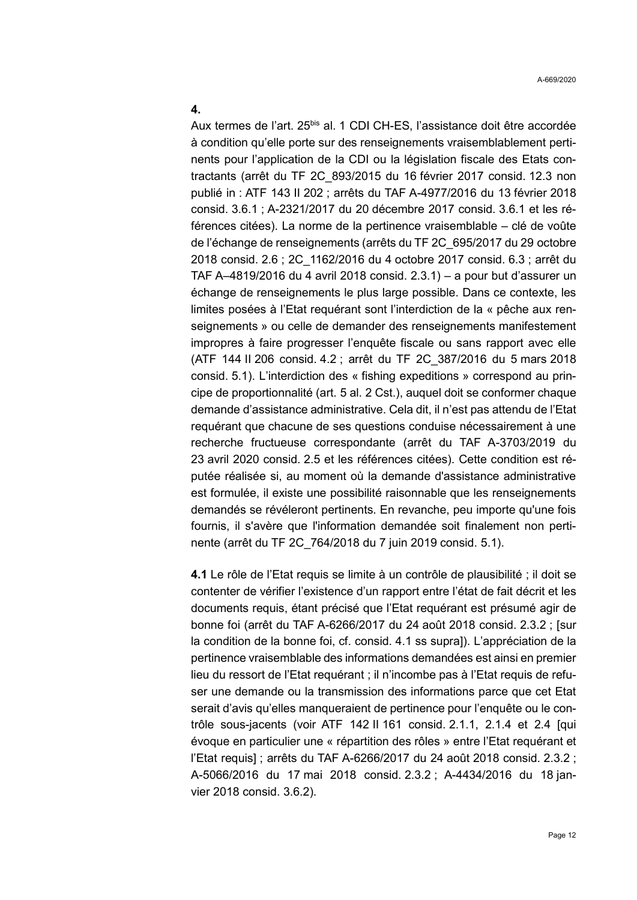#### **4.**

Aux termes de l'art. 25<sup>bis</sup> al. 1 CDI CH-ES, l'assistance doit être accordée à condition qu'elle porte sur des renseignements vraisemblablement pertinents pour l'application de la CDI ou la législation fiscale des Etats contractants (arrêt du TF 2C\_893/2015 du 16 février 2017 consid. 12.3 non publié in : ATF 143 II 202 ; arrêts du TAF A-4977/2016 du 13 février 2018 consid. 3.6.1 ; A-2321/2017 du 20 décembre 2017 consid. 3.6.1 et les références citées). La norme de la pertinence vraisemblable – clé de voûte de l'échange de renseignements (arrêts du TF 2C\_695/2017 du 29 octobre 2018 consid. 2.6 ; 2C\_1162/2016 du 4 octobre 2017 consid. 6.3 ; arrêt du TAF A–4819/2016 du 4 avril 2018 consid. 2.3.1) – a pour but d'assurer un échange de renseignements le plus large possible. Dans ce contexte, les limites posées à l'Etat requérant sont l'interdiction de la « pêche aux renseignements » ou celle de demander des renseignements manifestement impropres à faire progresser l'enquête fiscale ou sans rapport avec elle (ATF 144 II 206 consid. 4.2 ; arrêt du TF 2C\_387/2016 du 5 mars 2018 consid. 5.1). L'interdiction des « fishing expeditions » correspond au principe de proportionnalité (art. 5 al. 2 Cst.), auquel doit se conformer chaque demande d'assistance administrative. Cela dit, il n'est pas attendu de l'Etat requérant que chacune de ses questions conduise nécessairement à une recherche fructueuse correspondante (arrêt du TAF A-3703/2019 du 23 avril 2020 consid. 2.5 et les références citées). Cette condition est réputée réalisée si, au moment où la demande d'assistance administrative est formulée, il existe une possibilité raisonnable que les renseignements demandés se révéleront pertinents. En revanche, peu importe qu'une fois fournis, il s'avère que l'information demandée soit finalement non pertinente (arrêt du TF 2C\_764/2018 du 7 juin 2019 consid. 5.1).

**4.1** Le rôle de l'Etat requis se limite à un contrôle de plausibilité ; il doit se contenter de vérifier l'existence d'un rapport entre l'état de fait décrit et les documents requis, étant précisé que l'Etat requérant est présumé agir de bonne foi (arrêt du TAF A-6266/2017 du 24 août 2018 consid. 2.3.2 ; [sur la condition de la bonne foi, cf. consid. 4.1 ss supra]). L'appréciation de la pertinence vraisemblable des informations demandées est ainsi en premier lieu du ressort de l'Etat requérant ; il n'incombe pas à l'Etat requis de refuser une demande ou la transmission des informations parce que cet Etat serait d'avis qu'elles manqueraient de pertinence pour l'enquête ou le contrôle sous-jacents (voir ATF 142 II 161 consid. 2.1.1, 2.1.4 et 2.4 [qui évoque en particulier une « répartition des rôles » entre l'Etat requérant et l'Etat requis] ; arrêts du TAF A-6266/2017 du 24 août 2018 consid. 2.3.2 ; A-5066/2016 du 17 mai 2018 consid. 2.3.2 ; A-4434/2016 du 18 janvier 2018 consid. 3.6.2).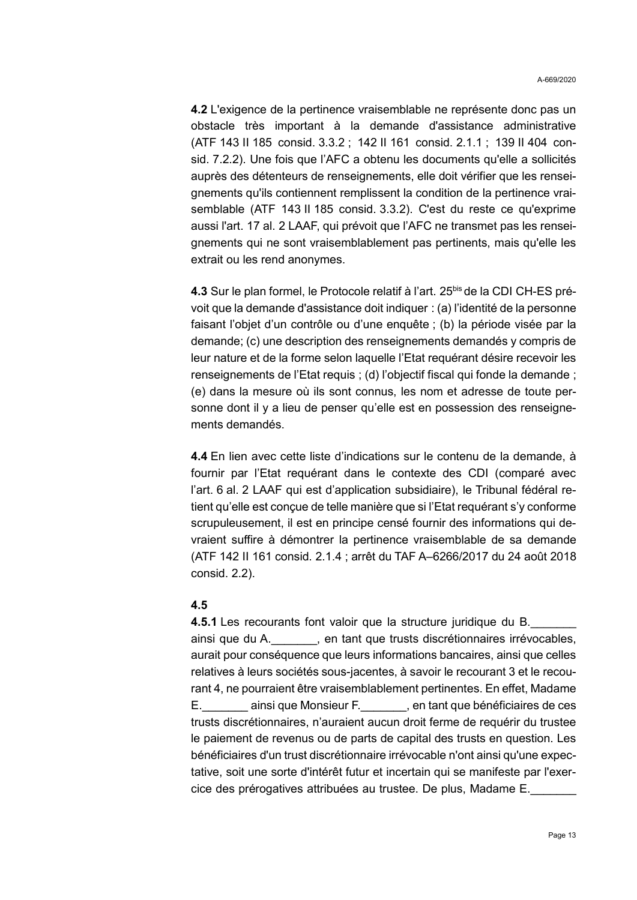**4.2** L'exigence de la pertinence vraisemblable ne représente donc pas un obstacle très important à la demande d'assistance administrative (ATF 143 II 185 consid. 3.3.2 ; 142 II 161 consid. 2.1.1 ; 139 II 404 consid. 7.2.2). Une fois que l'AFC a obtenu les documents qu'elle a sollicités auprès des détenteurs de renseignements, elle doit vérifier que les renseignements qu'ils contiennent remplissent la condition de la pertinence vraisemblable (ATF 143 II 185 consid. 3.3.2). C'est du reste ce qu'exprime aussi l'art. 17 al. 2 LAAF, qui prévoit que l'AFC ne transmet pas les renseignements qui ne sont vraisemblablement pas pertinents, mais qu'elle les extrait ou les rend anonymes.

**4.3** Sur le plan formel, le Protocole relatif à l'art. 25<sup>bis</sup> de la CDI CH-ES prévoit que la demande d'assistance doit indiquer : (a) l'identité de la personne faisant l'objet d'un contrôle ou d'une enquête ; (b) la période visée par la demande; (c) une description des renseignements demandés y compris de leur nature et de la forme selon laquelle l'Etat requérant désire recevoir les renseignements de l'Etat requis ; (d) l'objectif fiscal qui fonde la demande ; (e) dans la mesure où ils sont connus, les nom et adresse de toute personne dont il y a lieu de penser qu'elle est en possession des renseignements demandés.

**4.4** En lien avec cette liste d'indications sur le contenu de la demande, à fournir par l'Etat requérant dans le contexte des CDI (comparé avec l'art. 6 al. 2 LAAF qui est d'application subsidiaire), le Tribunal fédéral retient qu'elle est conçue de telle manière que si l'Etat requérant s'y conforme scrupuleusement, il est en principe censé fournir des informations qui devraient suffire à démontrer la pertinence vraisemblable de sa demande (ATF 142 II 161 consid. 2.1.4 ; arrêt du TAF A–6266/2017 du 24 août 2018 consid. 2.2).

#### **4.5**

**4.5.1** Les recourants font valoir que la structure juridique du B. ainsi que du A.\_\_\_\_\_\_\_, en tant que trusts discrétionnaires irrévocables, aurait pour conséquence que leurs informations bancaires, ainsi que celles relatives à leurs sociétés sous-jacentes, à savoir le recourant 3 et le recourant 4, ne pourraient être vraisemblablement pertinentes. En effet, Madame E.\_\_\_\_\_\_\_ ainsi que Monsieur F.\_\_\_\_\_\_\_, en tant que bénéficiaires de ces trusts discrétionnaires, n'auraient aucun droit ferme de requérir du trustee le paiement de revenus ou de parts de capital des trusts en question. Les bénéficiaires d'un trust discrétionnaire irrévocable n'ont ainsi qu'une expectative, soit une sorte d'intérêt futur et incertain qui se manifeste par l'exercice des prérogatives attribuées au trustee. De plus, Madame E.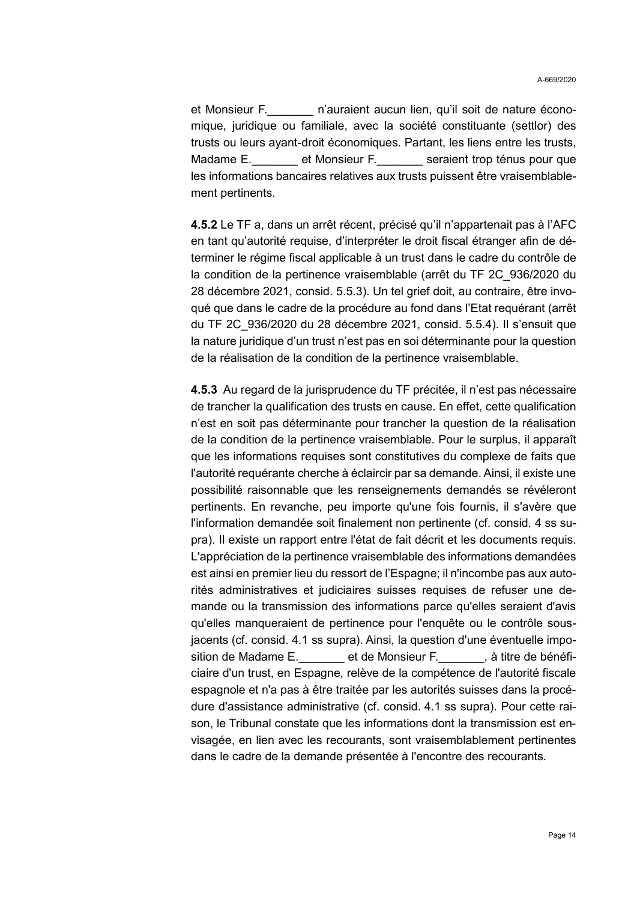et Monsieur F. **In primission aucun lien**, qu'il soit de nature économique, juridique ou familiale, avec la société constituante (settlor) des trusts ou leurs ayant-droit économiques. Partant, les liens entre les trusts, Madame E. et Monsieur F. seraient trop ténus pour que les informations bancaires relatives aux trusts puissent être vraisemblablement pertinents.

**4.5.2** Le TF a, dans un arrêt récent, précisé qu'il n'appartenait pas à l'AFC en tant qu'autorité requise, d'interpréter le droit fiscal étranger afin de déterminer le régime fiscal applicable à un trust dans le cadre du contrôle de la condition de la pertinence vraisemblable (arrêt du TF 2C\_936/2020 du 28 décembre 2021, consid. 5.5.3). Un tel grief doit, au contraire, être invoqué que dans le cadre de la procédure au fond dans l'Etat requérant (arrêt du TF 2C\_936/2020 du 28 décembre 2021, consid. 5.5.4). Il s'ensuit que la nature juridique d'un trust n'est pas en soi déterminante pour la question de la réalisation de la condition de la pertinence vraisemblable.

**4.5.3** Au regard de la jurisprudence du TF précitée, il n'est pas nécessaire de trancher la qualification des trusts en cause. En effet, cette qualification n'est en soit pas déterminante pour trancher la question de la réalisation de la condition de la pertinence vraisemblable. Pour le surplus, il apparaît que les informations requises sont constitutives du complexe de faits que l'autorité requérante cherche à éclaircir par sa demande. Ainsi, il existe une possibilité raisonnable que les renseignements demandés se révéleront pertinents. En revanche, peu importe qu'une fois fournis, il s'avère que l'information demandée soit finalement non pertinente (cf. consid. 4 ss supra). Il existe un rapport entre l'état de fait décrit et les documents requis. L'appréciation de la pertinence vraisemblable des informations demandées est ainsi en premier lieu du ressort de l'Espagne; il n'incombe pas aux autorités administratives et judiciaires suisses requises de refuser une demande ou la transmission des informations parce qu'elles seraient d'avis qu'elles manqueraient de pertinence pour l'enquête ou le contrôle sousjacents (cf. consid. 4.1 ss supra). Ainsi, la question d'une éventuelle imposition de Madame E. et de Monsieur F. et de it re de bénéficiaire d'un trust, en Espagne, relève de la compétence de l'autorité fiscale espagnole et n'a pas à être traitée par les autorités suisses dans la procédure d'assistance administrative (cf. consid. 4.1 ss supra). Pour cette raison, le Tribunal constate que les informations dont la transmission est envisagée, en lien avec les recourants, sont vraisemblablement pertinentes dans le cadre de la demande présentée à l'encontre des recourants.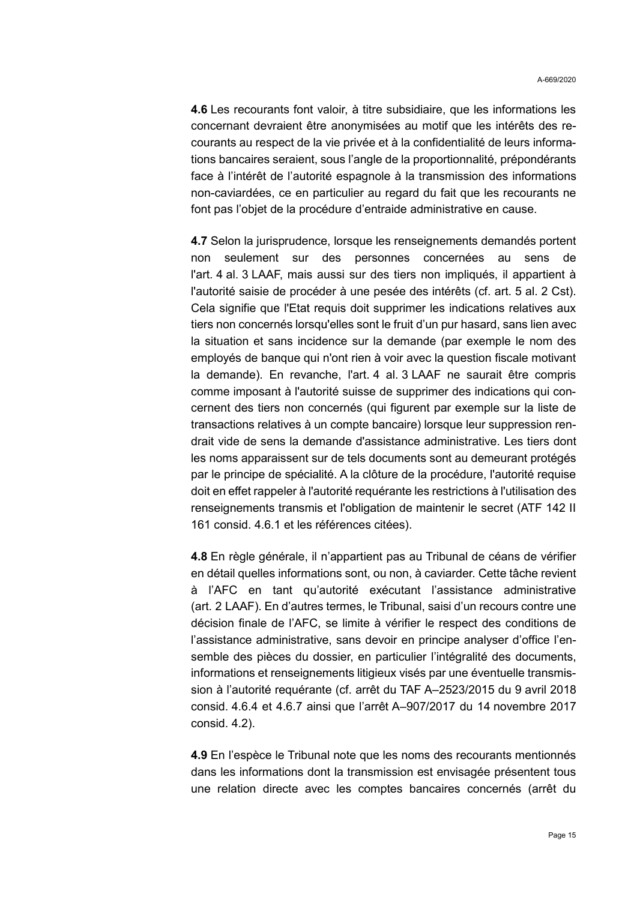**4.6** Les recourants font valoir, à titre subsidiaire, que les informations les concernant devraient être anonymisées au motif que les intérêts des recourants au respect de la vie privée et à la confidentialité de leurs informations bancaires seraient, sous l'angle de la proportionnalité, prépondérants face à l'intérêt de l'autorité espagnole à la transmission des informations non-caviardées, ce en particulier au regard du fait que les recourants ne font pas l'objet de la procédure d'entraide administrative en cause.

**4.7** Selon la jurisprudence, lorsque les renseignements demandés portent non seulement sur des personnes concernées au sens de l'art. 4 al. 3 LAAF, mais aussi sur des tiers non impliqués, il appartient à l'autorité saisie de procéder à une pesée des intérêts (cf. art. 5 al. 2 Cst). Cela signifie que l'Etat requis doit supprimer les indications relatives aux tiers non concernés lorsqu'elles sont le fruit d'un pur hasard, sans lien avec la situation et sans incidence sur la demande (par exemple le nom des employés de banque qui n'ont rien à voir avec la question fiscale motivant la demande). En revanche, l'art. 4 al. 3 LAAF ne saurait être compris comme imposant à l'autorité suisse de supprimer des indications qui concernent des tiers non concernés (qui figurent par exemple sur la liste de transactions relatives à un compte bancaire) lorsque leur suppression rendrait vide de sens la demande d'assistance administrative. Les tiers dont les noms apparaissent sur de tels documents sont au demeurant protégés par le principe de spécialité. A la clôture de la procédure, l'autorité requise doit en effet rappeler à l'autorité requérante les restrictions à l'utilisation des renseignements transmis et l'obligation de maintenir le secret (ATF 142 II 161 consid. 4.6.1 et les références citées).

**4.8** En règle générale, il n'appartient pas au Tribunal de céans de vérifier en détail quelles informations sont, ou non, à caviarder. Cette tâche revient à l'AFC en tant qu'autorité exécutant l'assistance administrative (art. 2 LAAF). En d'autres termes, le Tribunal, saisi d'un recours contre une décision finale de l'AFC, se limite à vérifier le respect des conditions de l'assistance administrative, sans devoir en principe analyser d'office l'ensemble des pièces du dossier, en particulier l'intégralité des documents, informations et renseignements litigieux visés par une éventuelle transmission à l'autorité requérante (cf. arrêt du TAF A–2523/2015 du 9 avril 2018 consid. 4.6.4 et 4.6.7 ainsi que l'arrêt A–907/2017 du 14 novembre 2017 consid. 4.2).

**4.9** En l'espèce le Tribunal note que les noms des recourants mentionnés dans les informations dont la transmission est envisagée présentent tous une relation directe avec les comptes bancaires concernés (arrêt du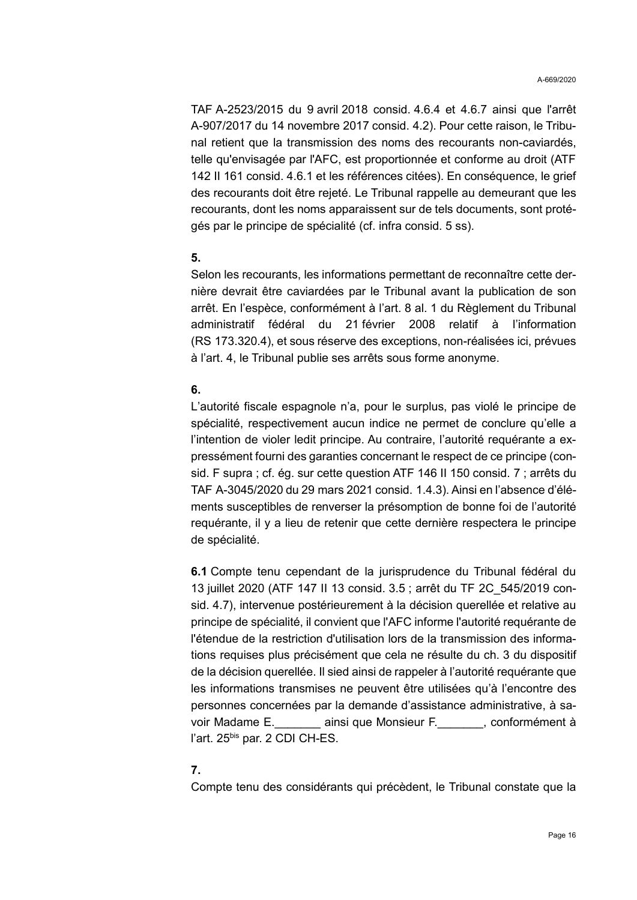TAF A-2523/2015 du 9 avril 2018 consid. 4.6.4 et 4.6.7 ainsi que l'arrêt A-907/2017 du 14 novembre 2017 consid. 4.2). Pour cette raison, le Tribunal retient que la transmission des noms des recourants non-caviardés, telle qu'envisagée par l'AFC, est proportionnée et conforme au droit (ATF 142 II 161 consid. 4.6.1 et les références citées). En conséquence, le grief des recourants doit être rejeté. Le Tribunal rappelle au demeurant que les recourants, dont les noms apparaissent sur de tels documents, sont protégés par le principe de spécialité (cf. infra consid. 5 ss).

### **5.**

Selon les recourants, les informations permettant de reconnaître cette dernière devrait être caviardées par le Tribunal avant la publication de son arrêt. En l'espèce, conformément à l'art. 8 al. 1 du Règlement du Tribunal administratif fédéral du 21 février 2008 relatif à l'information (RS 173.320.4), et sous réserve des exceptions, non-réalisées ici, prévues à l'art. 4, le Tribunal publie ses arrêts sous forme anonyme.

### **6.**

L'autorité fiscale espagnole n'a, pour le surplus, pas violé le principe de spécialité, respectivement aucun indice ne permet de conclure qu'elle a l'intention de violer ledit principe. Au contraire, l'autorité requérante a expressément fourni des garanties concernant le respect de ce principe (consid. F supra ; cf. ég. sur cette question ATF 146 II 150 consid. 7 ; arrêts du TAF A-3045/2020 du 29 mars 2021 consid. 1.4.3). Ainsi en l'absence d'éléments susceptibles de renverser la présomption de bonne foi de l'autorité requérante, il y a lieu de retenir que cette dernière respectera le principe de spécialité.

**6.1** Compte tenu cependant de la jurisprudence du Tribunal fédéral du 13 juillet 2020 (ATF 147 II 13 consid. 3.5 ; arrêt du TF 2C\_545/2019 consid. 4.7), intervenue postérieurement à la décision querellée et relative au principe de spécialité, il convient que l'AFC informe l'autorité requérante de l'étendue de la restriction d'utilisation lors de la transmission des informations requises plus précisément que cela ne résulte du ch. 3 du dispositif de la décision querellée. Il sied ainsi de rappeler à l'autorité requérante que les informations transmises ne peuvent être utilisées qu'à l'encontre des personnes concernées par la demande d'assistance administrative, à savoir Madame E. \_\_\_\_\_\_\_ ainsi que Monsieur F. \_\_\_\_\_\_\_, conformément à l'art. 25<sup>bis</sup> par. 2 CDI CH-ES.

# **7.**

Compte tenu des considérants qui précèdent, le Tribunal constate que la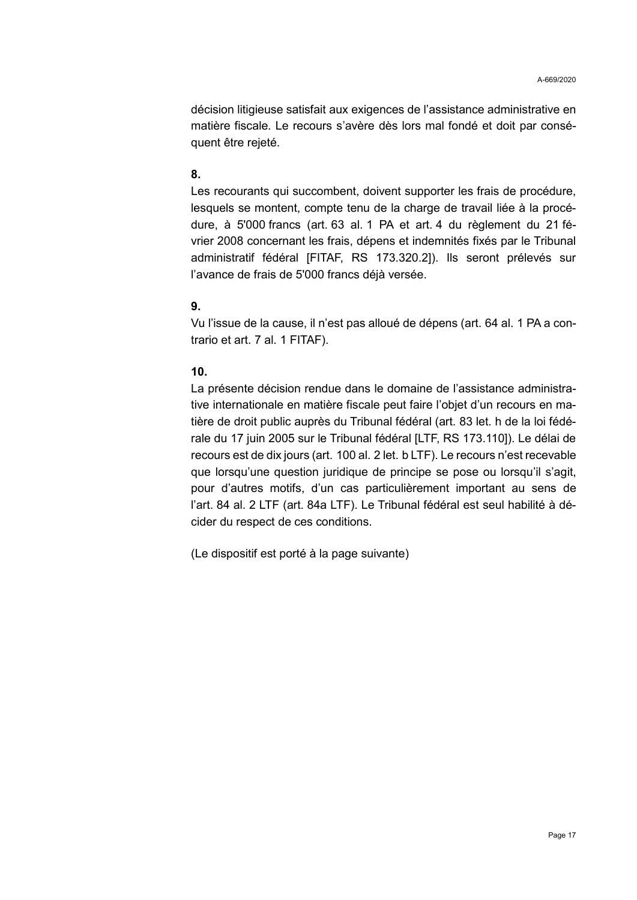décision litigieuse satisfait aux exigences de l'assistance administrative en matière fiscale. Le recours s'avère dès lors mal fondé et doit par conséquent être rejeté.

### **8.**

Les recourants qui succombent, doivent supporter les frais de procédure, lesquels se montent, compte tenu de la charge de travail liée à la procédure, à 5'000 francs (art. 63 al. 1 PA et art. 4 du règlement du 21 février 2008 concernant les frais, dépens et indemnités fixés par le Tribunal administratif fédéral [FITAF, RS 173.320.2]). Ils seront prélevés sur l'avance de frais de 5'000 francs déjà versée.

### **9.**

Vu l'issue de la cause, il n'est pas alloué de dépens (art. 64 al. 1 PA a contrario et art. 7 al. 1 FITAF).

### **10.**

La présente décision rendue dans le domaine de l'assistance administrative internationale en matière fiscale peut faire l'objet d'un recours en matière de droit public auprès du Tribunal fédéral (art. 83 let. h de la loi fédérale du 17 juin 2005 sur le Tribunal fédéral [LTF, RS 173.110]). Le délai de recours est de dix jours (art. 100 al. 2 let. b LTF). Le recours n'est recevable que lorsqu'une question juridique de principe se pose ou lorsqu'il s'agit, pour d'autres motifs, d'un cas particulièrement important au sens de l'art. 84 al. 2 LTF (art. 84a LTF). Le Tribunal fédéral est seul habilité à décider du respect de ces conditions.

(Le dispositif est porté à la page suivante)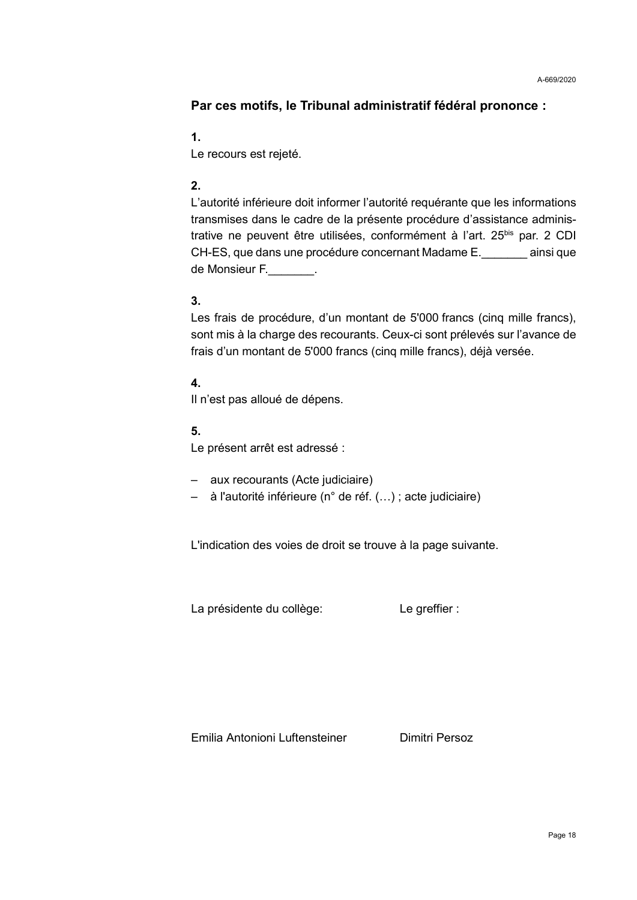# **Par ces motifs, le Tribunal administratif fédéral prononce :**

# **1.**

Le recours est rejeté.

# **2.**

L'autorité inférieure doit informer l'autorité requérante que les informations transmises dans le cadre de la présente procédure d'assistance administrative ne peuvent être utilisées, conformément à l'art. 25<sup>bis</sup> par. 2 CDI CH-ES, que dans une procédure concernant Madame E.\_\_\_\_\_\_\_ ainsi que de Monsieur F.\_\_\_\_\_\_\_.

# **3.**

Les frais de procédure, d'un montant de 5'000 francs (cinq mille francs), sont mis à la charge des recourants. Ceux-ci sont prélevés sur l'avance de frais d'un montant de 5'000 francs (cinq mille francs), déjà versée.

# **4.**

Il n'est pas alloué de dépens.

# **5.**

Le présent arrêt est adressé :

- aux recourants (Acte judiciaire)
- à l'autorité inférieure (n° de réf. (…) ; acte judiciaire)

L'indication des voies de droit se trouve à la page suivante.

La présidente du collège: Le greffier :

Emilia Antonioni Luftensteiner **Dimitri Persoz**